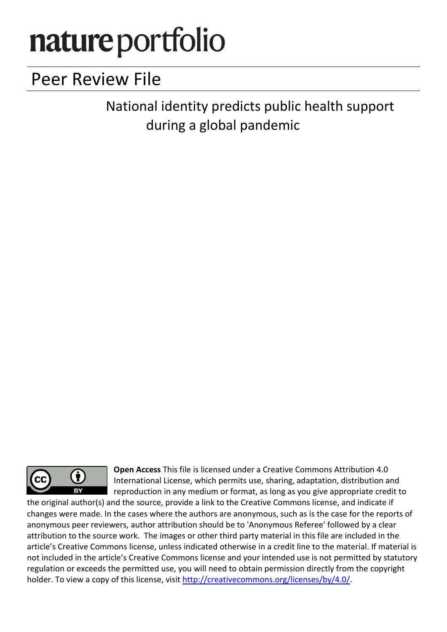# nature portfolio

# Peer Review File

National identity predicts public health support during a global pandemic



Open Access This file is licensed under a Creative Commons Attribution 4.0 International License, which permits use, sharing, adaptation, distribution and reproduction in any medium or format, as long as you give appropriate credit to

the original author(s) and the source, provide a link to the Creative Commons license, and indicate if changes were made. In the cases where the authors are anonymous, such as is the case for the reports of anonymous peer reviewers, author attribution should be to 'Anonymous Referee' followed by a clear attribution to the source work. The images or other third party material in this file are included in the article's Creative Commons license, unless indicated otherwise in a credit line to the material. If material is not included in the article's Creative Commons license and your intended use is not permitted by statutory regulation or exceeds the permitted use, you will need to obtain permission directly from the copyright holder. To view a copy of this license, visit http://creativecommons.org/licenses/by/4.0/.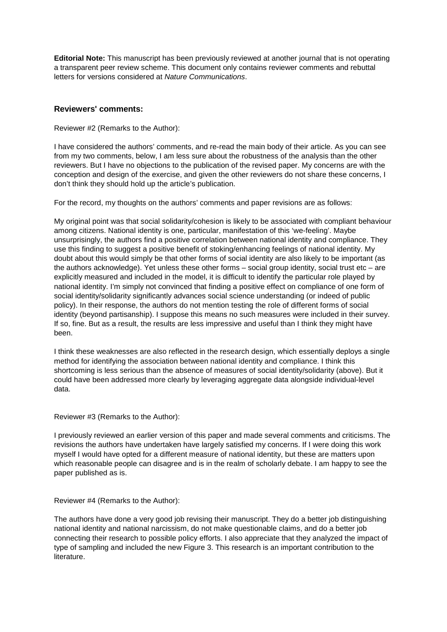**Editorial Note:** This manuscript has been previously reviewed at another journal that is not operating a transparent peer review scheme. This document only contains reviewer comments and rebuttal letters for versions considered at *Nature Communications*.

#### **Reviewers' comments:**

Reviewer #2 (Remarks to the Author):

I have considered the authors' comments, and re-read the main body of their article. As you can see from my two comments, below, I am less sure about the robustness of the analysis than the other reviewers. But I have no objections to the publication of the revised paper. My concerns are with the conception and design of the exercise, and given the other reviewers do not share these concerns, I don't think they should hold up the article's publication.

For the record, my thoughts on the authors' comments and paper revisions are as follows:

My original point was that social solidarity/cohesion is likely to be associated with compliant behaviour among citizens. National identity is one, particular, manifestation of this 'we-feeling'. Maybe unsurprisingly, the authors find a positive correlation between national identity and compliance. They use this finding to suggest a positive benefit of stoking/enhancing feelings of national identity. My doubt about this would simply be that other forms of social identity are also likely to be important (as the authors acknowledge). Yet unless these other forms – social group identity, social trust etc – are explicitly measured and included in the model, it is difficult to identify the particular role played by national identity. I'm simply not convinced that finding a positive effect on compliance of one form of social identity/solidarity significantly advances social science understanding (or indeed of public policy). In their response, the authors do not mention testing the role of different forms of social identity (beyond partisanship). I suppose this means no such measures were included in their survey. If so, fine. But as a result, the results are less impressive and useful than I think they might have been.

I think these weaknesses are also reflected in the research design, which essentially deploys a single method for identifying the association between national identity and compliance. I think this shortcoming is less serious than the absence of measures of social identity/solidarity (above). But it could have been addressed more clearly by leveraging aggregate data alongside individual-level data.

Reviewer #3 (Remarks to the Author):

I previously reviewed an earlier version of this paper and made several comments and criticisms. The revisions the authors have undertaken have largely satisfied my concerns. If I were doing this work myself I would have opted for a different measure of national identity, but these are matters upon which reasonable people can disagree and is in the realm of scholarly debate. I am happy to see the paper published as is.

Reviewer #4 (Remarks to the Author):

The authors have done a very good job revising their manuscript. They do a better job distinguishing national identity and national narcissism, do not make questionable claims, and do a better job connecting their research to possible policy efforts. I also appreciate that they analyzed the impact of type of sampling and included the new Figure 3. This research is an important contribution to the literature.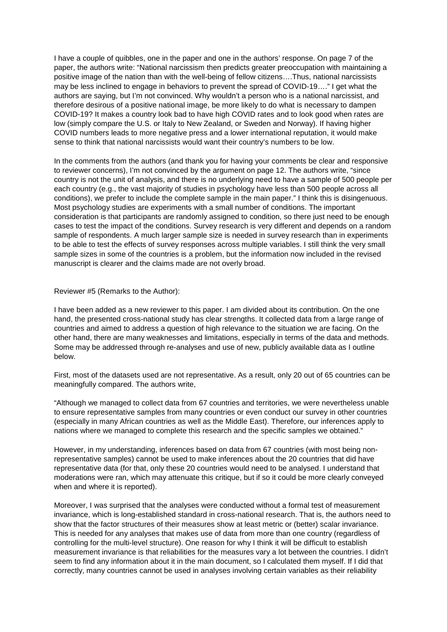I have a couple of quibbles, one in the paper and one in the authors' response. On page 7 of the paper, the authors write: "National narcissism then predicts greater preoccupation with maintaining a positive image of the nation than with the well-being of fellow citizens….Thus, national narcissists may be less inclined to engage in behaviors to prevent the spread of COVID-19…." I get what the authors are saying, but I'm not convinced. Why wouldn't a person who is a national narcissist, and therefore desirous of a positive national image, be more likely to do what is necessary to dampen COVID-19? It makes a country look bad to have high COVID rates and to look good when rates are low (simply compare the U.S. or Italy to New Zealand, or Sweden and Norway). If having higher COVID numbers leads to more negative press and a lower international reputation, it would make sense to think that national narcissists would want their country's numbers to be low.

In the comments from the authors (and thank you for having your comments be clear and responsive to reviewer concerns), I'm not convinced by the argument on page 12. The authors write, "since country is not the unit of analysis, and there is no underlying need to have a sample of 500 people per each country (e.g., the vast majority of studies in psychology have less than 500 people across all conditions), we prefer to include the complete sample in the main paper." I think this is disingenuous. Most psychology studies are experiments with a small number of conditions. The important consideration is that participants are randomly assigned to condition, so there just need to be enough cases to test the impact of the conditions. Survey research is very different and depends on a random sample of respondents. A much larger sample size is needed in survey research than in experiments to be able to test the effects of survey responses across multiple variables. I still think the very small sample sizes in some of the countries is a problem, but the information now included in the revised manuscript is clearer and the claims made are not overly broad.

Reviewer #5 (Remarks to the Author):

I have been added as a new reviewer to this paper. I am divided about its contribution. On the one hand, the presented cross-national study has clear strengths. It collected data from a large range of countries and aimed to address a question of high relevance to the situation we are facing. On the other hand, there are many weaknesses and limitations, especially in terms of the data and methods. Some may be addressed through re-analyses and use of new, publicly available data as I outline below.

First, most of the datasets used are not representative. As a result, only 20 out of 65 countries can be meaningfully compared. The authors write,

"Although we managed to collect data from 67 countries and territories, we were nevertheless unable to ensure representative samples from many countries or even conduct our survey in other countries (especially in many African countries as well as the Middle East). Therefore, our inferences apply to nations where we managed to complete this research and the specific samples we obtained."

However, in my understanding, inferences based on data from 67 countries (with most being nonrepresentative samples) cannot be used to make inferences about the 20 countries that did have representative data (for that, only these 20 countries would need to be analysed. I understand that moderations were ran, which may attenuate this critique, but if so it could be more clearly conveyed when and where it is reported).

Moreover, I was surprised that the analyses were conducted without a formal test of measurement invariance, which is long-established standard in cross-national research. That is, the authors need to show that the factor structures of their measures show at least metric or (better) scalar invariance. This is needed for any analyses that makes use of data from more than one country (regardless of controlling for the multi-level structure). One reason for why I think it will be difficult to establish measurement invariance is that reliabilities for the measures vary a lot between the countries. I didn't seem to find any information about it in the main document, so I calculated them myself. If I did that correctly, many countries cannot be used in analyses involving certain variables as their reliability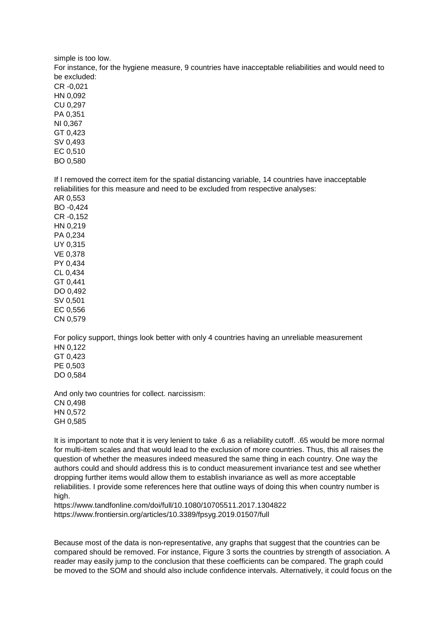simple is too low. For instance, for the hygiene measure, 9 countries have inacceptable reliabilities and would need to be excluded: CR -0,021 HN 0,092 CU 0,297 PA 0,351 NI 0,367 GT 0,423 SV 0,493 EC 0,510 BO 0,580

If I removed the correct item for the spatial distancing variable, 14 countries have inacceptable reliabilities for this measure and need to be excluded from respective analyses:

AR 0,553 BO -0,424 CR -0,152 HN 0,219 PA 0,234 UY 0,315 VE 0,378 PY 0,434 CL 0,434 GT 0,441 DO 0,492 SV 0,501 EC 0,556 CN 0,579

For policy support, things look better with only 4 countries having an unreliable measurement HN 0,122 GT 0,423 PE 0,503 DO 0,584

And only two countries for collect. narcissism: CN 0,498 HN 0,572 GH 0,585

It is important to note that it is very lenient to take .6 as a reliability cutoff. .65 would be more normal for multi-item scales and that would lead to the exclusion of more countries. Thus, this all raises the question of whether the measures indeed measured the same thing in each country. One way the authors could and should address this is to conduct measurement invariance test and see whether dropping further items would allow them to establish invariance as well as more acceptable reliabilities. I provide some references here that outline ways of doing this when country number is high.

https://www.tandfonline.com/doi/full/10.1080/10705511.2017.1304822 https://www.frontiersin.org/articles/10.3389/fpsyg.2019.01507/full

Because most of the data is non-representative, any graphs that suggest that the countries can be compared should be removed. For instance, Figure 3 sorts the countries by strength of association. A reader may easily jump to the conclusion that these coefficients can be compared. The graph could be moved to the SOM and should also include confidence intervals. Alternatively, it could focus on the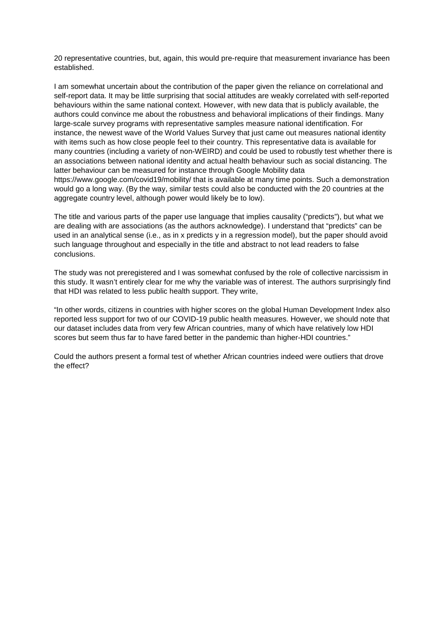20 representative countries, but, again, this would pre-require that measurement invariance has been established.

I am somewhat uncertain about the contribution of the paper given the reliance on correlational and self-report data. It may be little surprising that social attitudes are weakly correlated with self-reported behaviours within the same national context. However, with new data that is publicly available, the authors could convince me about the robustness and behavioral implications of their findings. Many large-scale survey programs with representative samples measure national identification. For instance, the newest wave of the World Values Survey that just came out measures national identity with items such as how close people feel to their country. This representative data is available for many countries (including a variety of non-WEIRD) and could be used to robustly test whether there is an associations between national identity and actual health behaviour such as social distancing. The latter behaviour can be measured for instance through Google Mobility data https://www.google.com/covid19/mobility/ that is available at many time points. Such a demonstration would go a long way. (By the way, similar tests could also be conducted with the 20 countries at the aggregate country level, although power would likely be to low).

The title and various parts of the paper use language that implies causality ("predicts"), but what we are dealing with are associations (as the authors acknowledge). I understand that "predicts" can be used in an analytical sense (i.e., as in x predicts y in a regression model), but the paper should avoid such language throughout and especially in the title and abstract to not lead readers to false conclusions.

The study was not preregistered and I was somewhat confused by the role of collective narcissism in this study. It wasn't entirely clear for me why the variable was of interest. The authors surprisingly find that HDI was related to less public health support. They write,

"In other words, citizens in countries with higher scores on the global Human Development Index also reported less support for two of our COVID-19 public health measures. However, we should note that our dataset includes data from very few African countries, many of which have relatively low HDI scores but seem thus far to have fared better in the pandemic than higher-HDI countries."

Could the authors present a formal test of whether African countries indeed were outliers that drove the effect?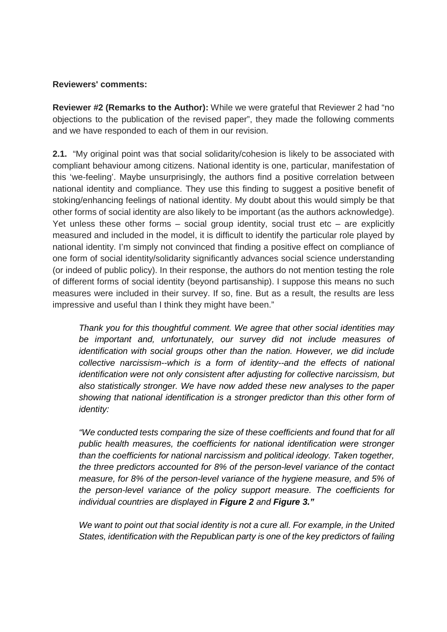# **Reviewers' comments:**

**Reviewer #2 (Remarks to the Author):** While we were grateful that Reviewer 2 had "no objections to the publication of the revised paper", they made the following comments and we have responded to each of them in our revision.

**2.1.** "My original point was that social solidarity/cohesion is likely to be associated with compliant behaviour among citizens. National identity is one, particular, manifestation of this 'we-feeling'. Maybe unsurprisingly, the authors find a positive correlation between national identity and compliance. They use this finding to suggest a positive benefit of stoking/enhancing feelings of national identity. My doubt about this would simply be that other forms of social identity are also likely to be important (as the authors acknowledge). Yet unless these other forms  $-$  social group identity, social trust etc  $-$  are explicitly measured and included in the model, it is difficult to identify the particular role played by national identity. I'm simply not convinced that finding a positive effect on compliance of one form of social identity/solidarity significantly advances social science understanding (or indeed of public policy). In their response, the authors do not mention testing the role of different forms of social identity (beyond partisanship). I suppose this means no such measures were included in their survey. If so, fine. But as a result, the results are less impressive and useful than I think they might have been."

*Thank you for this thoughtful comment. We agree that other social identities may be important and, unfortunately, our survey did not include measures of identification with social groups other than the nation. However, we did include collective narcissism--which is a form of identity--and the effects of national identification were not only consistent after adjusting for collective narcissism, but also statistically stronger. We have now added these new analyses to the paper showing that national identification is a stronger predictor than this other form of identity:* 

*"We conducted tests comparing the size of these coefficients and found that for all public health measures, the coefficients for national identification were stronger than the coefficients for national narcissism and political ideology. Taken together, the three predictors accounted for 8% of the person-level variance of the contact measure, for 8% of the person-level variance of the hygiene measure, and 5% of the person-level variance of the policy support measure. The coefficients for individual countries are displayed in Figure 2 and Figure 3."*

*We want to point out that social identity is not a cure all. For example, in the United States, identification with the Republican party is one of the key predictors of failing*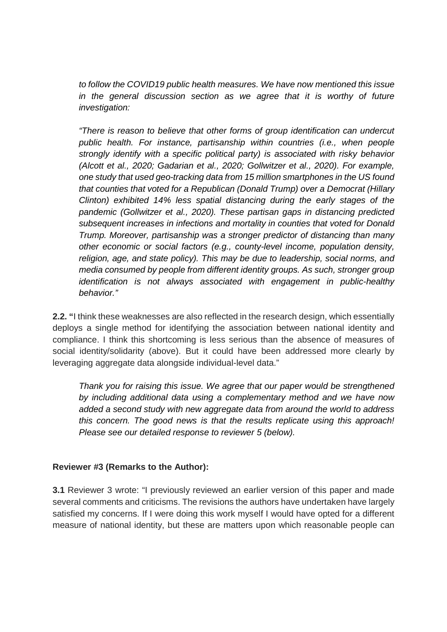*to follow the COVID19 public health measures. We have now mentioned this issue*  in the general discussion section as we agree that it is worthy of future *investigation:* 

*"There is reason to believe that other forms of group identification can undercut public health. For instance, partisanship within countries (i.e., when people strongly identify with a specific political party) is associated with risky behavior (Alcott et al., 2020; Gadarian et al., 2020; Gollwitzer et al., 2020). For example, one study that used geo-tracking data from 15 million smartphones in the US found that counties that voted for a Republican (Donald Trump) over a Democrat (Hillary Clinton) exhibited 14% less spatial distancing during the early stages of the pandemic (Gollwitzer et al., 2020). These partisan gaps in distancing predicted subsequent increases in infections and mortality in counties that voted for Donald Trump. Moreover, partisanship was a stronger predictor of distancing than many other economic or social factors (e.g., county-level income, population density, religion, age, and state policy). This may be due to leadership, social norms, and media consumed by people from different identity groups. As such, stronger group identification is not always associated with engagement in public-healthy behavior."* 

**2.2. "**I think these weaknesses are also reflected in the research design, which essentially deploys a single method for identifying the association between national identity and compliance. I think this shortcoming is less serious than the absence of measures of social identity/solidarity (above). But it could have been addressed more clearly by leveraging aggregate data alongside individual-level data."

*Thank you for raising this issue. We agree that our paper would be strengthened by including additional data using a complementary method and we have now added a second study with new aggregate data from around the world to address this concern. The good news is that the results replicate using this approach! Please see our detailed response to reviewer 5 (below).* 

# **Reviewer #3 (Remarks to the Author):**

**3.1** Reviewer 3 wrote: "I previously reviewed an earlier version of this paper and made several comments and criticisms. The revisions the authors have undertaken have largely satisfied my concerns. If I were doing this work myself I would have opted for a different measure of national identity, but these are matters upon which reasonable people can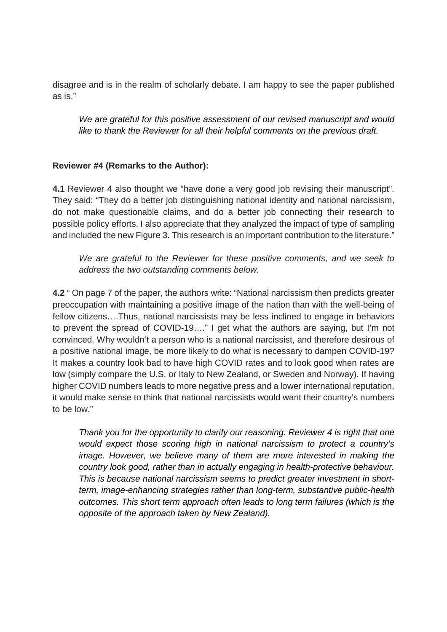disagree and is in the realm of scholarly debate. I am happy to see the paper published as is."

*We are grateful for this positive assessment of our revised manuscript and would like to thank the Reviewer for all their helpful comments on the previous draft.* 

# **Reviewer #4 (Remarks to the Author):**

**4.1** Reviewer 4 also thought we "have done a very good job revising their manuscript". They said: "They do a better job distinguishing national identity and national narcissism, do not make questionable claims, and do a better job connecting their research to possible policy efforts. I also appreciate that they analyzed the impact of type of sampling and included the new Figure 3. This research is an important contribution to the literature."

*We are grateful to the Reviewer for these positive comments, and we seek to address the two outstanding comments below.* 

**4.2** " On page 7 of the paper, the authors write: "National narcissism then predicts greater preoccupation with maintaining a positive image of the nation than with the well-being of fellow citizens….Thus, national narcissists may be less inclined to engage in behaviors to prevent the spread of COVID-19…." I get what the authors are saying, but I'm not convinced. Why wouldn't a person who is a national narcissist, and therefore desirous of a positive national image, be more likely to do what is necessary to dampen COVID-19? It makes a country look bad to have high COVID rates and to look good when rates are low (simply compare the U.S. or Italy to New Zealand, or Sweden and Norway). If having higher COVID numbers leads to more negative press and a lower international reputation, it would make sense to think that national narcissists would want their country's numbers to be low."

*Thank you for the opportunity to clarify our reasoning. Reviewer 4 is right that one would expect those scoring high in national narcissism to protect a country's image. However, we believe many of them are more interested in making the country look good, rather than in actually engaging in health-protective behaviour. This is because national narcissism seems to predict greater investment in shortterm, image-enhancing strategies rather than long-term, substantive public-health outcomes. This short term approach often leads to long term failures (which is the opposite of the approach taken by New Zealand).*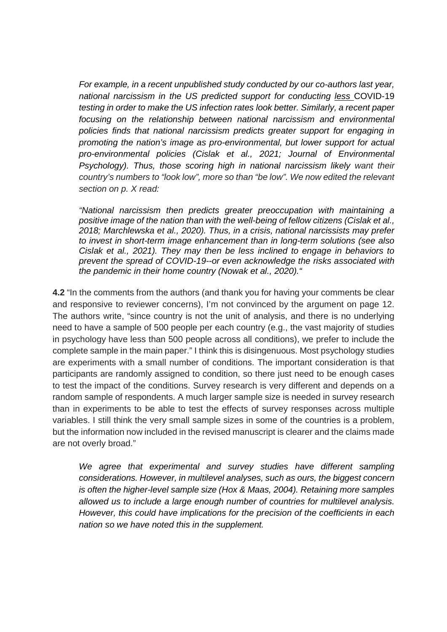*For example, in a recent unpublished study conducted by our co-authors last year, national narcissism in the US predicted support for conducting less* COVID-19 *testing in order to make the US infection rates look better. Similarly, a recent paper focusing on the relationship between national narcissism and environmental policies finds that national narcissism predicts greater support for engaging in promoting the nation's image as pro-environmental, but lower support for actual pro-environmental policies (Cislak et al., 2021; Journal of Environmental Psychology). Thus, those scoring high in national narcissism likely want their country's numbers to "look low", more so than "be low". We now edited the relevant section on p. X read:* 

*"National narcissism then predicts greater preoccupation with maintaining a positive image of the nation than with the well-being of fellow citizens (Cislak et al., 2018; Marchlewska et al., 2020). Thus, in a crisis, national narcissists may prefer to invest in short-term image enhancement than in long-term solutions (see also Cislak et al., 2021). They may then be less inclined to engage in behaviors to prevent the spread of COVID-19--or even acknowledge the risks associated with the pandemic in their home country (Nowak et al., 2020)."*

**4.2** "In the comments from the authors (and thank you for having your comments be clear and responsive to reviewer concerns), I'm not convinced by the argument on page 12. The authors write, "since country is not the unit of analysis, and there is no underlying need to have a sample of 500 people per each country (e.g., the vast majority of studies in psychology have less than 500 people across all conditions), we prefer to include the complete sample in the main paper." I think this is disingenuous. Most psychology studies are experiments with a small number of conditions. The important consideration is that participants are randomly assigned to condition, so there just need to be enough cases to test the impact of the conditions. Survey research is very different and depends on a random sample of respondents. A much larger sample size is needed in survey research than in experiments to be able to test the effects of survey responses across multiple variables. I still think the very small sample sizes in some of the countries is a problem, but the information now included in the revised manuscript is clearer and the claims made are not overly broad."

*We agree that experimental and survey studies have different sampling considerations. However, in multilevel analyses, such as ours, the biggest concern is often the higher-level sample size (Hox & Maas, 2004). Retaining more samples allowed us to include a large enough number of countries for multilevel analysis. However, this could have implications for the precision of the coefficients in each nation so we have noted this in the supplement.*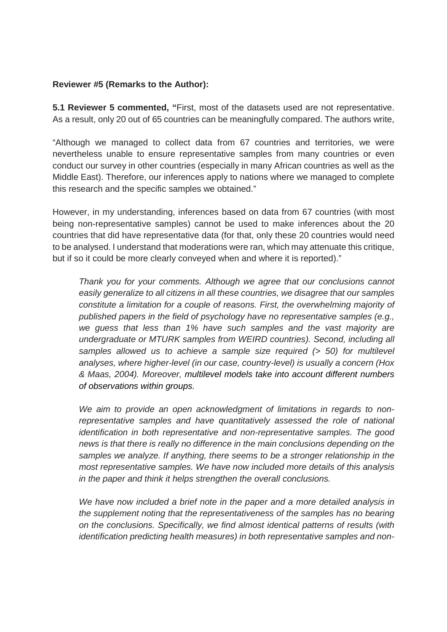# **Reviewer #5 (Remarks to the Author):**

**5.1 Reviewer 5 commented, "**First, most of the datasets used are not representative. As a result, only 20 out of 65 countries can be meaningfully compared. The authors write,

"Although we managed to collect data from 67 countries and territories, we were nevertheless unable to ensure representative samples from many countries or even conduct our survey in other countries (especially in many African countries as well as the Middle East). Therefore, our inferences apply to nations where we managed to complete this research and the specific samples we obtained."

However, in my understanding, inferences based on data from 67 countries (with most being non-representative samples) cannot be used to make inferences about the 20 countries that did have representative data (for that, only these 20 countries would need to be analysed. I understand that moderations were ran, which may attenuate this critique, but if so it could be more clearly conveyed when and where it is reported)."

*Thank you for your comments. Although we agree that our conclusions cannot easily generalize to all citizens in all these countries, we disagree that our samples constitute a limitation for a couple of reasons. First, the overwhelming majority of published papers in the field of psychology have no representative samples (e.g., we guess that less than 1% have such samples and the vast majority are undergraduate or MTURK samples from WEIRD countries). Second, including all samples allowed us to achieve a sample size required (> 50) for multilevel analyses, where higher-level (in our case, country-level) is usually a concern (Hox & Maas, 2004). Moreover, multilevel models take into account different numbers of observations within groups.*

*We aim to provide an open acknowledgment of limitations in regards to nonrepresentative samples and have quantitatively assessed the role of national identification in both representative and non-representative samples. The good news is that there is really no difference in the main conclusions depending on the samples we analyze. If anything, there seems to be a stronger relationship in the most representative samples. We have now included more details of this analysis in the paper and think it helps strengthen the overall conclusions.* 

*We have now included a brief note in the paper and a more detailed analysis in the supplement noting that the representativeness of the samples has no bearing on the conclusions. Specifically, we find almost identical patterns of results (with identification predicting health measures) in both representative samples and non-*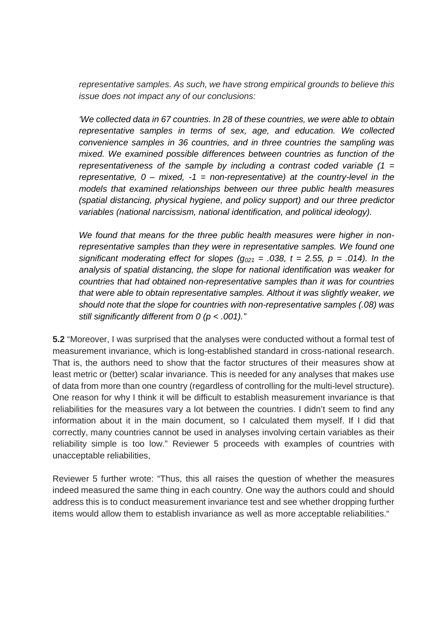*representative samples. As such, we have strong empirical grounds to believe this issue does not impact any of our conclusions:* 

*'We collected data in 67 countries. In 28 of these countries, we were able to obtain representative samples in terms of sex, age, and education. We collected convenience samples in 36 countries, and in three countries the sampling was mixed. We examined possible differences between countries as function of the representativeness of the sample by including a contrast coded variable (1 = representative, 0 – mixed, -1 = non-representative) at the country-level in the models that examined relationships between our three public health measures (spatial distancing, physical hygiene, and policy support) and our three predictor variables (national narcissism, national identification, and political ideology).* 

*We found that means for the three public health measures were higher in nonrepresentative samples than they were in representative samples. We found one significant moderating effect for slopes (* $q_{021}$  *= .038, t = 2.55, p = .014). In the analysis of spatial distancing, the slope for national identification was weaker for countries that had obtained non-representative samples than it was for countries that were able to obtain representative samples. Althout it was slightly weaker, we should note that the slope for countries with non-representative samples (.08) was still significantly different from 0 (p < .001)."*

**5.2** "Moreover, I was surprised that the analyses were conducted without a formal test of measurement invariance, which is long-established standard in cross-national research. That is, the authors need to show that the factor structures of their measures show at least metric or (better) scalar invariance. This is needed for any analyses that makes use of data from more than one country (regardless of controlling for the multi-level structure). One reason for why I think it will be difficult to establish measurement invariance is that reliabilities for the measures vary a lot between the countries. I didn't seem to find any information about it in the main document, so I calculated them myself. If I did that correctly, many countries cannot be used in analyses involving certain variables as their reliability simple is too low." Reviewer 5 proceeds with examples of countries with unacceptable reliabilities,

Reviewer 5 further wrote: "Thus, this all raises the question of whether the measures indeed measured the same thing in each country. One way the authors could and should address this is to conduct measurement invariance test and see whether dropping further items would allow them to establish invariance as well as more acceptable reliabilities."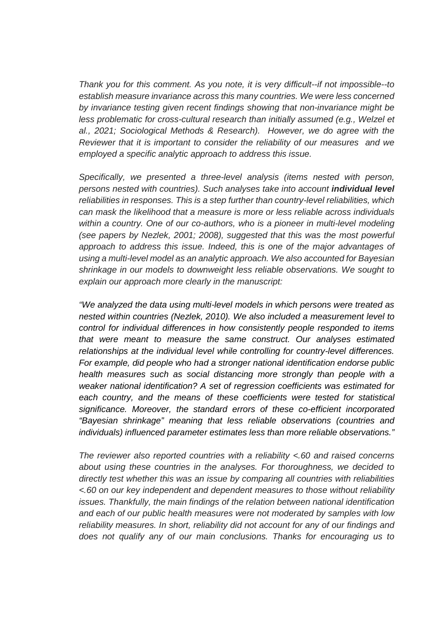*Thank you for this comment. As you note, it is very difficult--if not impossible--to establish measure invariance across this many countries. We were less concerned by invariance testing given recent findings showing that non-invariance might be less problematic for cross-cultural research than initially assumed (e.g., Welzel et al., 2021; Sociological Methods & Research). However, we do agree with the Reviewer that it is important to consider the reliability of our measures and we employed a specific analytic approach to address this issue.* 

*Specifically, we presented a three-level analysis (items nested with person, persons nested with countries). Such analyses take into account individual level reliabilities in responses. This is a step further than country-level reliabilities, which can mask the likelihood that a measure is more or less reliable across individuals within a country. One of our co-authors, who is a pioneer in multi-level modeling (see papers by Nezlek, 2001; 2008), suggested that this was the most powerful approach to address this issue. Indeed, this is one of the major advantages of using a multi-level model as an analytic approach. We also accounted for Bayesian shrinkage in our models to downweight less reliable observations. We sought to explain our approach more clearly in the manuscript:* 

*"We analyzed the data using multi-level models in which persons were treated as nested within countries (Nezlek, 2010). We also included a measurement level to control for individual differences in how consistently people responded to items that were meant to measure the same construct. Our analyses estimated relationships at the individual level while controlling for country-level differences. For example, did people who had a stronger national identification endorse public health measures such as social distancing more strongly than people with a weaker national identification? A set of regression coefficients was estimated for*  each country, and the means of these coefficients were tested for statistical *significance. Moreover, the standard errors of these co-efficient incorporated "Bayesian shrinkage" meaning that less reliable observations (countries and individuals) influenced parameter estimates less than more reliable observations."*

*The reviewer also reported countries with a reliability <.60 and raised concerns about using these countries in the analyses. For thoroughness, we decided to directly test whether this was an issue by comparing all countries with reliabilities <.60 on our key independent and dependent measures to those without reliability issues. Thankfully, the main findings of the relation between national identification and each of our public health measures were not moderated by samples with low reliability measures. In short, reliability did not account for any of our findings and does not qualify any of our main conclusions. Thanks for encouraging us to*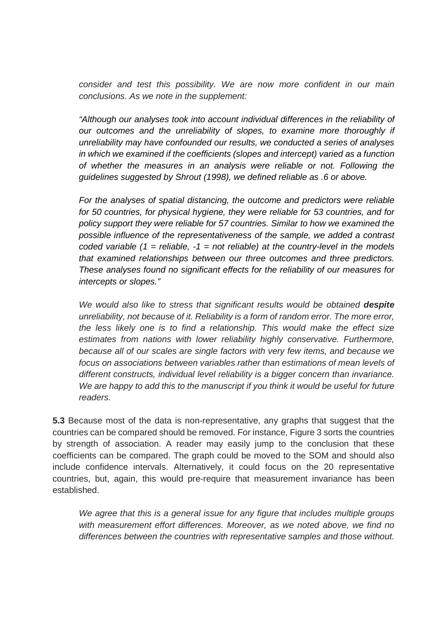*consider and test this possibility. We are now more confident in our main conclusions. As we note in the supplement:* 

*"Although our analyses took into account individual differences in the reliability of our outcomes and the unreliability of slopes, to examine more thoroughly if unreliability may have confounded our results, we conducted a series of analyses in which we examined if the coefficients (slopes and intercept) varied as a function of whether the measures in an analysis were reliable or not. Following the guidelines suggested by Shrout (1998), we defined reliable as .6 or above.* 

*For the analyses of spatial distancing, the outcome and predictors were reliable for 50 countries, for physical hygiene, they were reliable for 53 countries, and for policy support they were reliable for 57 countries. Similar to how we examined the possible influence of the representativeness of the sample, we added a contrast coded variable (1 = reliable, -1 = not reliable) at the country-level in the models that examined relationships between our three outcomes and three predictors. These analyses found no significant effects for the reliability of our measures for intercepts or slopes."*

*We would also like to stress that significant results would be obtained <i>despite unreliability, not because of it. Reliability is a form of random error. The more error, the less likely one is to find a relationship. This would make the effect size estimates from nations with lower reliability highly conservative. Furthermore, because all of our scales are single factors with very few items, and because we focus on associations between variables rather than estimations of mean levels of different constructs, individual level reliability is a bigger concern than invariance. We are happy to add this to the manuscript if you think it would be useful for future readers.* 

**5.3** Because most of the data is non-representative, any graphs that suggest that the countries can be compared should be removed. For instance, Figure 3 sorts the countries by strength of association. A reader may easily jump to the conclusion that these coefficients can be compared. The graph could be moved to the SOM and should also include confidence intervals. Alternatively, it could focus on the 20 representative countries, but, again, this would pre-require that measurement invariance has been established.

*We agree that this is a general issue for any figure that includes multiple groups with measurement effort differences. Moreover, as we noted above, we find no differences between the countries with representative samples and those without.*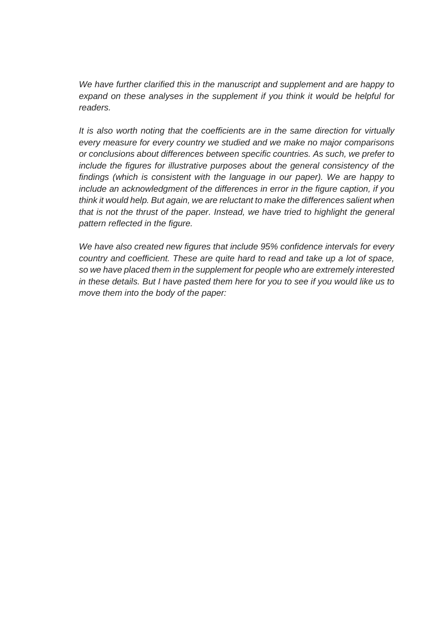*We have further clarified this in the manuscript and supplement and are happy to*  expand on these analyses in the supplement if you think it would be helpful for *readers.* 

*It is also worth noting that the coefficients are in the same direction for virtually every measure for every country we studied and we make no major comparisons or conclusions about differences between specific countries. As such, we prefer to include the figures for illustrative purposes about the general consistency of the findings (which is consistent with the language in our paper). We are happy to include an acknowledgment of the differences in error in the figure caption, if you think it would help. But again, we are reluctant to make the differences salient when that is not the thrust of the paper. Instead, we have tried to highlight the general pattern reflected in the figure.* 

*We have also created new figures that include 95% confidence intervals for every country and coefficient. These are quite hard to read and take up a lot of space, so we have placed them in the supplement for people who are extremely interested in these details. But I have pasted them here for you to see if you would like us to move them into the body of the paper:*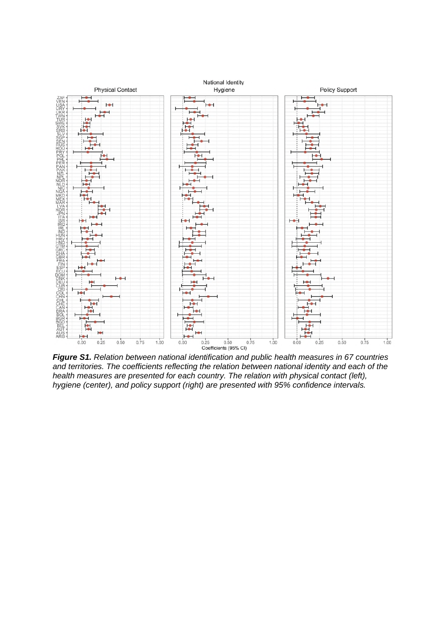

*Figure S1. Relation between national identification and public health measures in 67 countries and territories. The coefficients reflecting the relation between national identity and each of the health measures are presented for each country. The relation with physical contact (left), hygiene (center), and policy support (right) are presented with 95% confidence intervals.*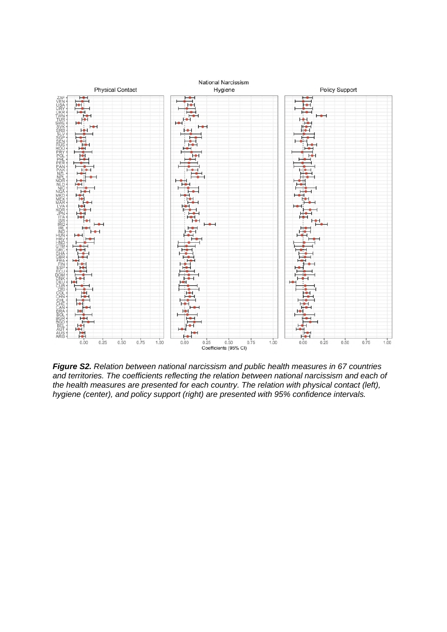

*Figure S2. Relation between national narcissism and public health measures in 67 countries and territories. The coefficients reflecting the relation between national narcissism and each of the health measures are presented for each country. The relation with physical contact (left), hygiene (center), and policy support (right) are presented with 95% confidence intervals.*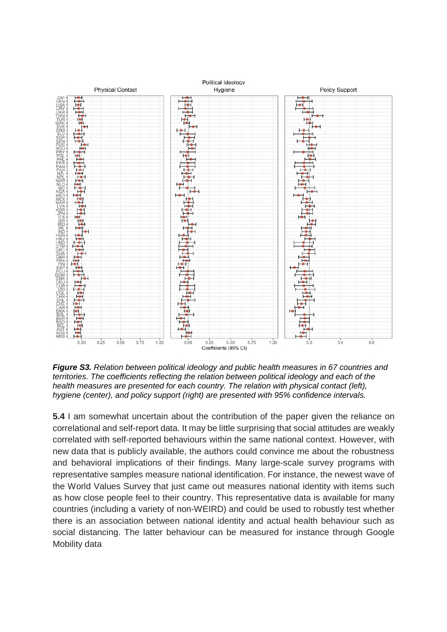

*Figure S3. Relation between political ideology and public health measures in 67 countries and territories. The coefficients reflecting the relation between political ideology and each of the health measures are presented for each country. The relation with physical contact (left), hygiene (center), and policy support (right) are presented with 95% confidence intervals.* 

**5.4** I am somewhat uncertain about the contribution of the paper given the reliance on correlational and self-report data. It may be little surprising that social attitudes are weakly correlated with self-reported behaviours within the same national context. However, with new data that is publicly available, the authors could convince me about the robustness and behavioral implications of their findings. Many large-scale survey programs with representative samples measure national identification. For instance, the newest wave of the World Values Survey that just came out measures national identity with items such as how close people feel to their country. This representative data is available for many countries (including a variety of non-WEIRD) and could be used to robustly test whether there is an association between national identity and actual health behaviour such as social distancing. The latter behaviour can be measured for instance through Google Mobility data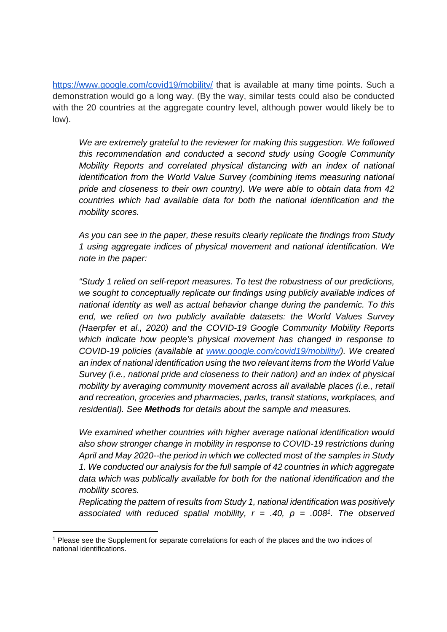https://www.google.com/covid19/mobility/ that is available at many time points. Such a demonstration would go a long way. (By the way, similar tests could also be conducted with the 20 countries at the aggregate country level, although power would likely be to low).

*We are extremely grateful to the reviewer for making this suggestion. We followed this recommendation and conducted a second study using Google Community Mobility Reports and correlated physical distancing with an index of national identification from the World Value Survey (combining items measuring national pride and closeness to their own country). We were able to obtain data from 42 countries which had available data for both the national identification and the mobility scores.* 

*As you can see in the paper, these results clearly replicate the findings from Study 1 using aggregate indices of physical movement and national identification. We note in the paper:* 

*"Study 1 relied on self-report measures. To test the robustness of our predictions, we sought to conceptually replicate our findings using publicly available indices of national identity as well as actual behavior change during the pandemic. To this end, we relied on two publicly available datasets: the World Values Survey (Haerpfer et al., 2020) and the COVID-19 Google Community Mobility Reports which indicate how people's physical movement has changed in response to COVID-19 policies (available at www.google.com/covid19/mobility/). We created an index of national identification using the two relevant items from the World Value Survey (i.e., national pride and closeness to their nation) and an index of physical mobility by averaging community movement across all available places (i.e., retail and recreation, groceries and pharmacies, parks, transit stations, workplaces, and residential). See Methods for details about the sample and measures.* 

*We examined whether countries with higher average national identification would also show stronger change in mobility in response to COVID-19 restrictions during April and May 2020--the period in which we collected most of the samples in Study 1. We conducted our analysis for the full sample of 42 countries in which aggregate data which was publically available for both for the national identification and the mobility scores.* 

*Replicating the pattern of results from Study 1, national identification was positively associated with reduced spatial mobility, r = .40, p = .008<sup>1</sup> . The observed* 

<sup>&</sup>lt;sup>1</sup> Please see the Supplement for separate correlations for each of the places and the two indices of national identifications.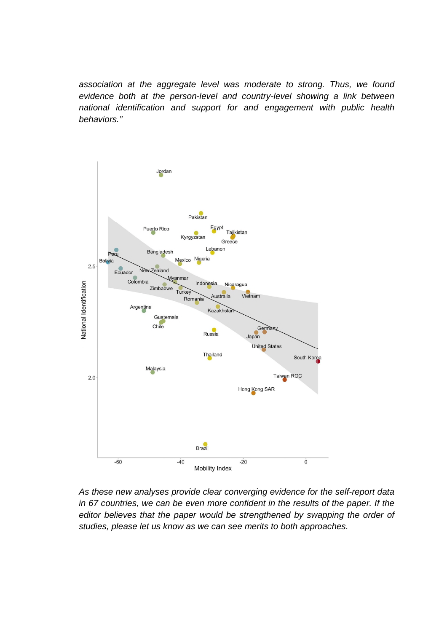*association at the aggregate level was moderate to strong. Thus, we found evidence both at the person-level and country-level showing a link between national identification and support for and engagement with public health behaviors."* 



*As these new analyses provide clear converging evidence for the self-report data*  in 67 countries, we can be even more confident in the results of the paper. If the editor believes that the paper would be strengthened by swapping the order of *studies, please let us know as we can see merits to both approaches.*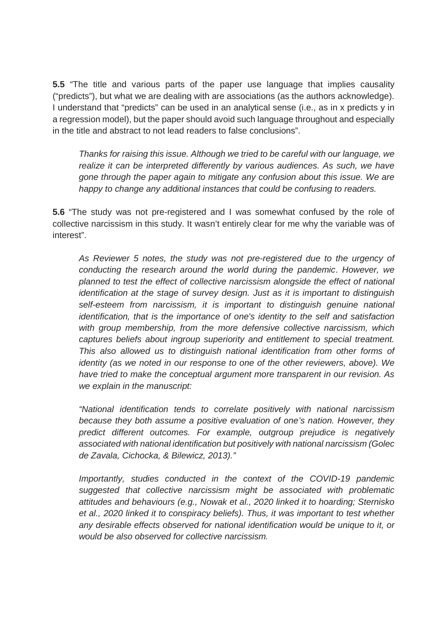**5.5** "The title and various parts of the paper use language that implies causality ("predicts"), but what we are dealing with are associations (as the authors acknowledge). I understand that "predicts" can be used in an analytical sense (i.e., as in x predicts y in a regression model), but the paper should avoid such language throughout and especially in the title and abstract to not lead readers to false conclusions".

*Thanks for raising this issue. Although we tried to be careful with our language, we realize it can be interpreted differently by various audiences. As such, we have gone through the paper again to mitigate any confusion about this issue. We are happy to change any additional instances that could be confusing to readers.* 

**5.6** "The study was not pre-registered and I was somewhat confused by the role of collective narcissism in this study. It wasn't entirely clear for me why the variable was of interest".

*As Reviewer 5 notes, the study was not pre-registered due to the urgency of conducting the research around the world during the pandemic*. *However, we planned to test the effect of collective narcissism alongside the effect of national identification at the stage of survey design. Just as it is important to distinguish self-esteem from narcissism, it is important to distinguish genuine national identification, that is the importance of one's identity to the self and satisfaction with group membership, from the more defensive collective narcissism, which captures beliefs about ingroup superiority and entitlement to special treatment. This also allowed us to distinguish national identification from other forms of identity (as we noted in our response to one of the other reviewers, above). We have tried to make the conceptual argument more transparent in our revision. As we explain in the manuscript:* 

*"National identification tends to correlate positively with national narcissism because they both assume a positive evaluation of one's nation. However, they predict different outcomes. For example, outgroup prejudice is negatively associated with national identification but positively with national narcissism (Golec de Zavala, Cichocka, & Bilewicz, 2013)."* 

*Importantly, studies conducted in the context of the COVID-19 pandemic suggested that collective narcissism might be associated with problematic attitudes and behaviours (e.g., Nowak et al., 2020 linked it to hoarding; Sternisko et al., 2020 linked it to conspiracy beliefs). Thus, it was important to test whether any desirable effects observed for national identification would be unique to it, or would be also observed for collective narcissism.*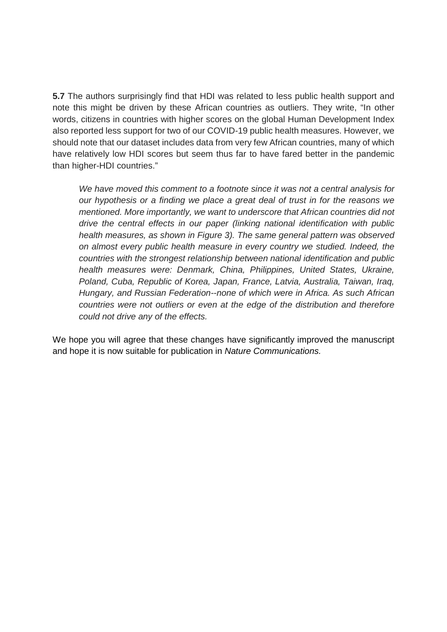**5.7** The authors surprisingly find that HDI was related to less public health support and note this might be driven by these African countries as outliers. They write, "In other words, citizens in countries with higher scores on the global Human Development Index also reported less support for two of our COVID-19 public health measures. However, we should note that our dataset includes data from very few African countries, many of which have relatively low HDI scores but seem thus far to have fared better in the pandemic than higher-HDI countries."

*We have moved this comment to a footnote since it was not a central analysis for our hypothesis or a finding we place a great deal of trust in for the reasons we mentioned. More importantly, we want to underscore that African countries did not drive the central effects in our paper (linking national identification with public health measures, as shown in Figure 3). The same general pattern was observed on almost every public health measure in every country we studied. Indeed, the countries with the strongest relationship between national identification and public health measures were: Denmark, China, Philippines, United States, Ukraine, Poland, Cuba, Republic of Korea, Japan, France, Latvia, Australia, Taiwan, Iraq, Hungary, and Russian Federation--none of which were in Africa. As such African countries were not outliers or even at the edge of the distribution and therefore could not drive any of the effects.* 

We hope you will agree that these changes have significantly improved the manuscript and hope it is now suitable for publication in *Nature Communications.*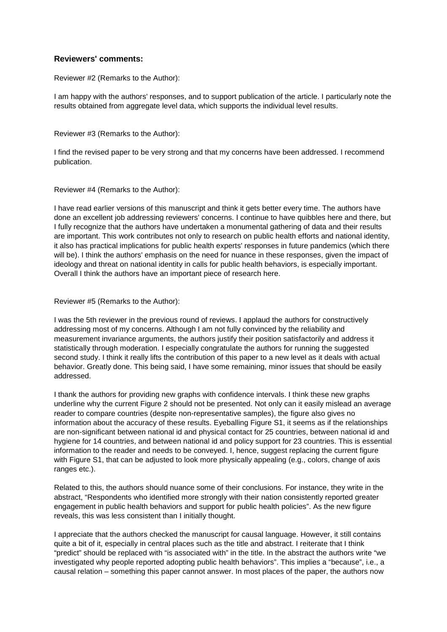#### **Reviewers' comments:**

Reviewer #2 (Remarks to the Author):

I am happy with the authors' responses, and to support publication of the article. I particularly note the results obtained from aggregate level data, which supports the individual level results.

Reviewer #3 (Remarks to the Author):

I find the revised paper to be very strong and that my concerns have been addressed. I recommend publication.

Reviewer #4 (Remarks to the Author):

I have read earlier versions of this manuscript and think it gets better every time. The authors have done an excellent job addressing reviewers' concerns. I continue to have quibbles here and there, but I fully recognize that the authors have undertaken a monumental gathering of data and their results are important. This work contributes not only to research on public health efforts and national identity, it also has practical implications for public health experts' responses in future pandemics (which there will be). I think the authors' emphasis on the need for nuance in these responses, given the impact of ideology and threat on national identity in calls for public health behaviors, is especially important. Overall I think the authors have an important piece of research here.

#### Reviewer #5 (Remarks to the Author):

I was the 5th reviewer in the previous round of reviews. I applaud the authors for constructively addressing most of my concerns. Although I am not fully convinced by the reliability and measurement invariance arguments, the authors justify their position satisfactorily and address it statistically through moderation. I especially congratulate the authors for running the suggested second study. I think it really lifts the contribution of this paper to a new level as it deals with actual behavior. Greatly done. This being said, I have some remaining, minor issues that should be easily addressed.

I thank the authors for providing new graphs with confidence intervals. I think these new graphs underline why the current Figure 2 should not be presented. Not only can it easily mislead an average reader to compare countries (despite non-representative samples), the figure also gives no information about the accuracy of these results. Eyeballing Figure S1, it seems as if the relationships are non-significant between national id and physical contact for 25 countries, between national id and hygiene for 14 countries, and between national id and policy support for 23 countries. This is essential information to the reader and needs to be conveyed. I, hence, suggest replacing the current figure with Figure S1, that can be adjusted to look more physically appealing (e.g., colors, change of axis ranges etc.).

Related to this, the authors should nuance some of their conclusions. For instance, they write in the abstract, "Respondents who identified more strongly with their nation consistently reported greater engagement in public health behaviors and support for public health policies". As the new figure reveals, this was less consistent than I initially thought.

I appreciate that the authors checked the manuscript for causal language. However, it still contains quite a bit of it, especially in central places such as the title and abstract. I reiterate that I think "predict" should be replaced with "is associated with" in the title. In the abstract the authors write "we investigated why people reported adopting public health behaviors". This implies a "because", i.e., a causal relation – something this paper cannot answer. In most places of the paper, the authors now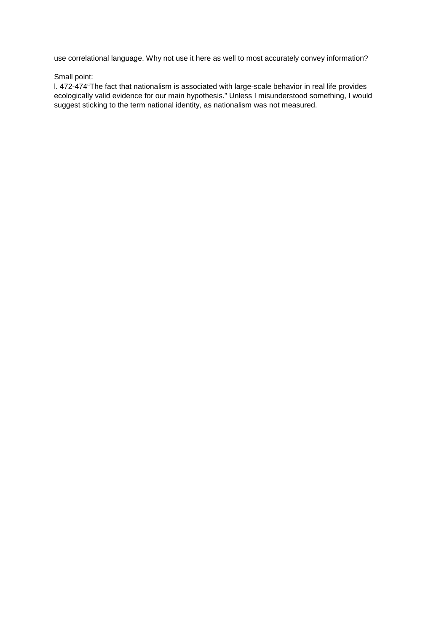use correlational language. Why not use it here as well to most accurately convey information?

#### Small point:

l. 472-474"The fact that nationalism is associated with large-scale behavior in real life provides ecologically valid evidence for our main hypothesis." Unless I misunderstood something, I would suggest sticking to the term national identity, as nationalism was not measured.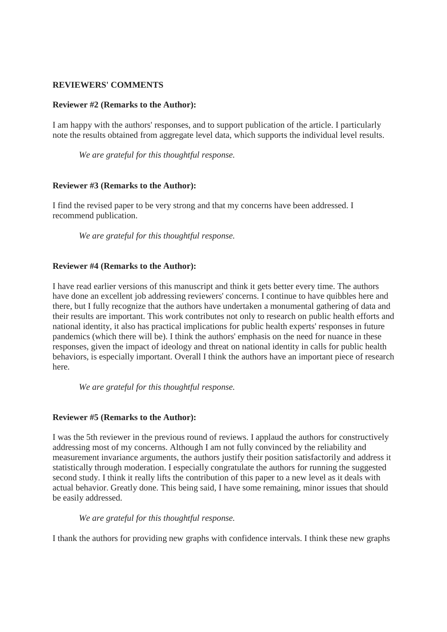# **REVIEWERS' COMMENTS**

### **Reviewer #2 (Remarks to the Author):**

I am happy with the authors' responses, and to support publication of the article. I particularly note the results obtained from aggregate level data, which supports the individual level results.

*We are grateful for this thoughtful response.*

# **Reviewer #3 (Remarks to the Author):**

I find the revised paper to be very strong and that my concerns have been addressed. I recommend publication.

*We are grateful for this thoughtful response.*

# **Reviewer #4 (Remarks to the Author):**

I have read earlier versions of this manuscript and think it gets better every time. The authors have done an excellent job addressing reviewers' concerns. I continue to have quibbles here and there, but I fully recognize that the authors have undertaken a monumental gathering of data and their results are important. This work contributes not only to research on public health efforts and national identity, it also has practical implications for public health experts' responses in future pandemics (which there will be). I think the authors' emphasis on the need for nuance in these responses, given the impact of ideology and threat on national identity in calls for public health behaviors, is especially important. Overall I think the authors have an important piece of research here.

*We are grateful for this thoughtful response.*

# **Reviewer #5 (Remarks to the Author):**

I was the 5th reviewer in the previous round of reviews. I applaud the authors for constructively addressing most of my concerns. Although I am not fully convinced by the reliability and measurement invariance arguments, the authors justify their position satisfactorily and address it statistically through moderation. I especially congratulate the authors for running the suggested second study. I think it really lifts the contribution of this paper to a new level as it deals with actual behavior. Greatly done. This being said, I have some remaining, minor issues that should be easily addressed.

# *We are grateful for this thoughtful response.*

I thank the authors for providing new graphs with confidence intervals. I think these new graphs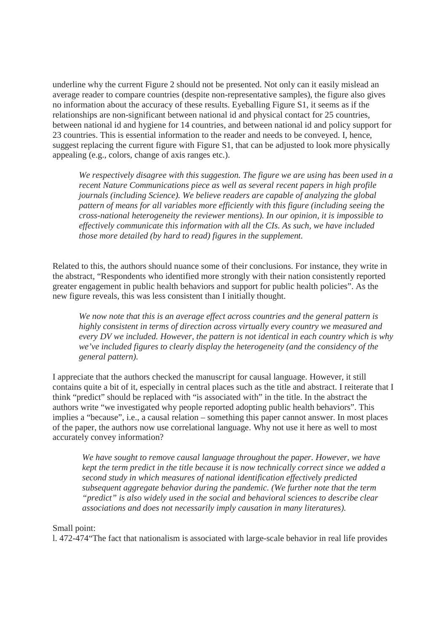underline why the current Figure 2 should not be presented. Not only can it easily mislead an average reader to compare countries (despite non-representative samples), the figure also gives no information about the accuracy of these results. Eyeballing Figure S1, it seems as if the relationships are non-significant between national id and physical contact for 25 countries, between national id and hygiene for 14 countries, and between national id and policy support for 23 countries. This is essential information to the reader and needs to be conveyed. I, hence, suggest replacing the current figure with Figure S1, that can be adjusted to look more physically appealing (e.g., colors, change of axis ranges etc.).

*We respectively disagree with this suggestion. The figure we are using has been used in a recent Nature Communications piece as well as several recent papers in high profile journals (including Science). We believe readers are capable of analyzing the global pattern of means for all variables more efficiently with this figure (including seeing the cross-national heterogeneity the reviewer mentions). In our opinion, it is impossible to effectively communicate this information with all the CIs. As such, we have included those more detailed (by hard to read) figures in the supplement.* 

Related to this, the authors should nuance some of their conclusions. For instance, they write in the abstract, "Respondents who identified more strongly with their nation consistently reported greater engagement in public health behaviors and support for public health policies". As the new figure reveals, this was less consistent than I initially thought.

*We now note that this is an average effect across countries and the general pattern is highly consistent in terms of direction across virtually every country we measured and every DV we included. However, the pattern is not identical in each country which is why we've included figures to clearly display the heterogeneity (and the considency of the general pattern).* 

I appreciate that the authors checked the manuscript for causal language. However, it still contains quite a bit of it, especially in central places such as the title and abstract. I reiterate that I think "predict" should be replaced with "is associated with" in the title. In the abstract the authors write "we investigated why people reported adopting public health behaviors". This implies a "because", i.e., a causal relation – something this paper cannot answer. In most places of the paper, the authors now use correlational language. Why not use it here as well to most accurately convey information?

*We have sought to remove causal language throughout the paper. However, we have kept the term predict in the title because it is now technically correct since we added a second study in which measures of national identification effectively predicted subsequent aggregate behavior during the pandemic. (We further note that the term "predict" is also widely used in the social and behavioral sciences to describe clear associations and does not necessarily imply causation in many literatures).* 

Small point:

l. 472-474"The fact that nationalism is associated with large-scale behavior in real life provides